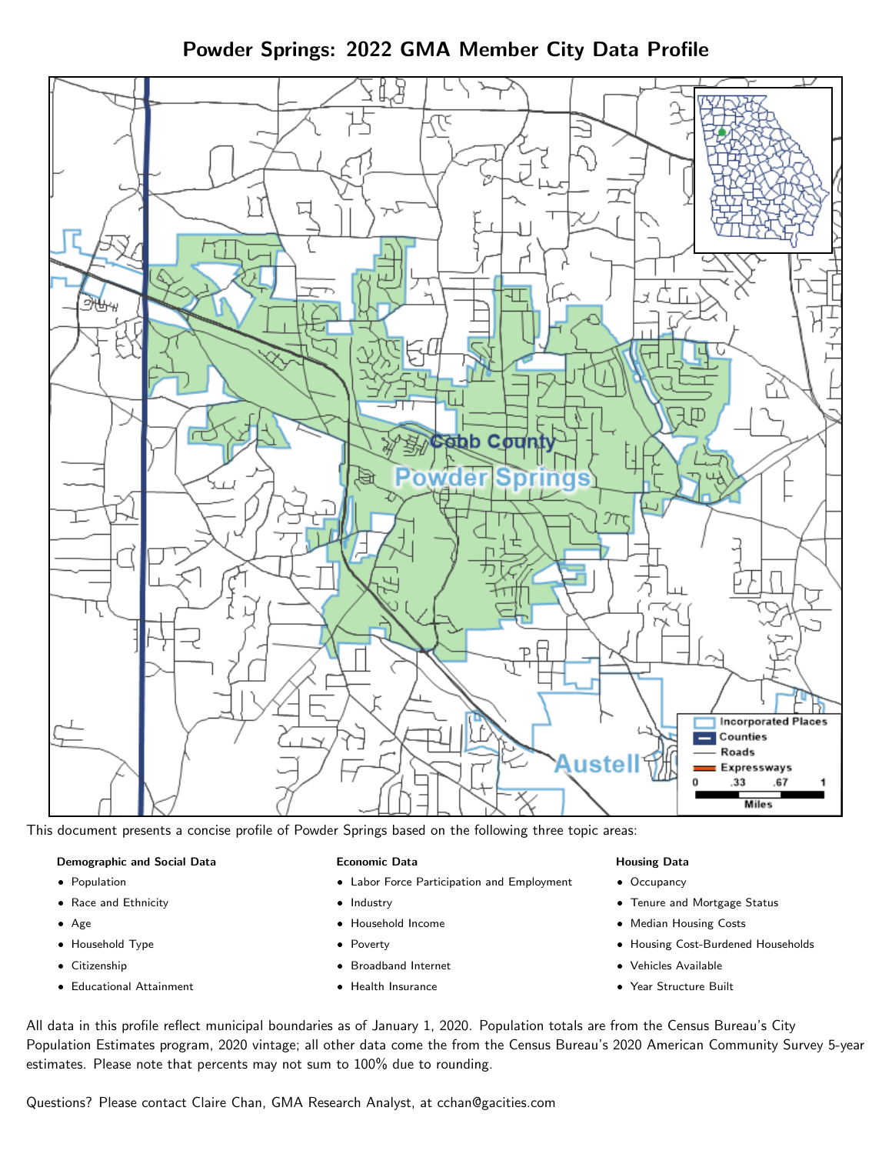Powder Springs: 2022 GMA Member City Data Profile



This document presents a concise profile of Powder Springs based on the following three topic areas:

#### Demographic and Social Data

- **•** Population
- Race and Ethnicity
- Age
- Household Type
- **Citizenship**
- Educational Attainment

#### Economic Data

- Labor Force Participation and Employment
- Industry
- Household Income
- Poverty
- Broadband Internet
- Health Insurance

#### Housing Data

- Occupancy
- Tenure and Mortgage Status
- Median Housing Costs
- Housing Cost-Burdened Households
- Vehicles Available
- Year Structure Built

All data in this profile reflect municipal boundaries as of January 1, 2020. Population totals are from the Census Bureau's City Population Estimates program, 2020 vintage; all other data come the from the Census Bureau's 2020 American Community Survey 5-year estimates. Please note that percents may not sum to 100% due to rounding.

Questions? Please contact Claire Chan, GMA Research Analyst, at [cchan@gacities.com.](mailto:cchan@gacities.com)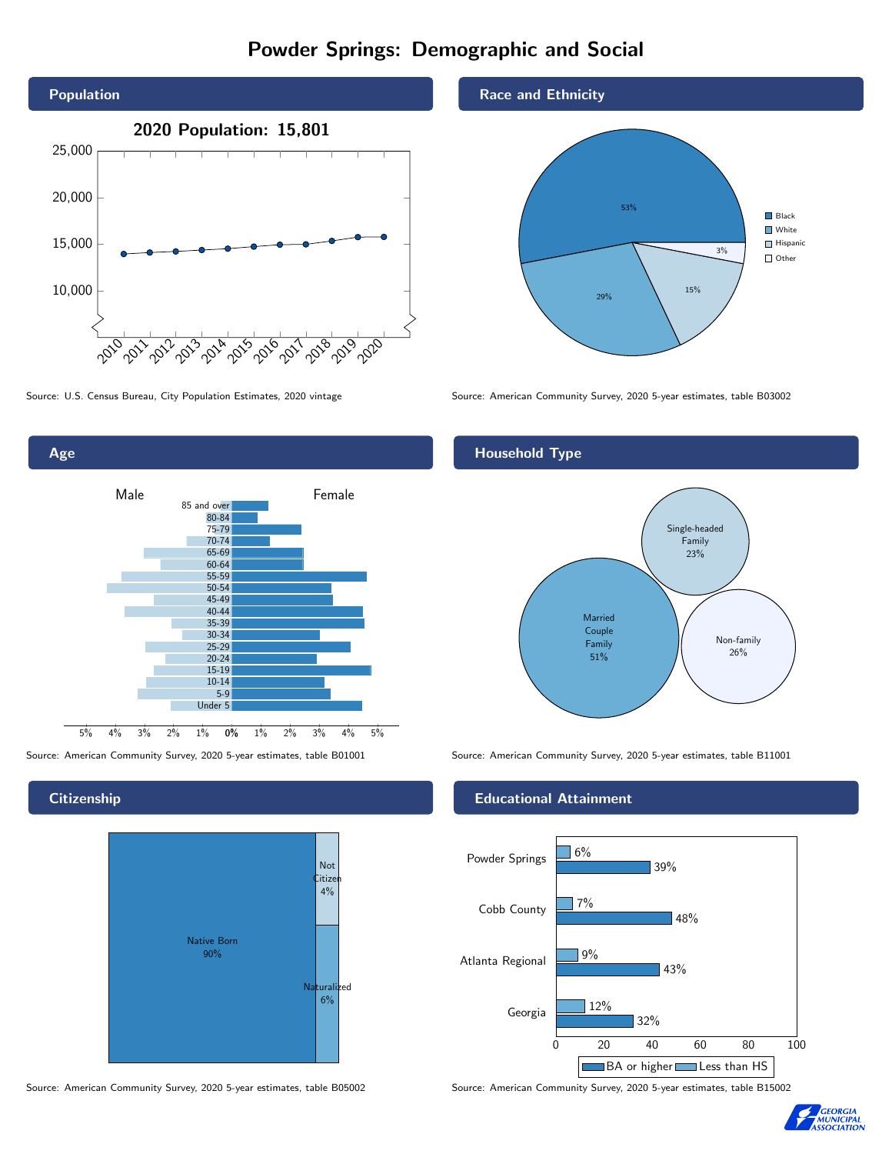# Powder Springs: Demographic and Social



Age 0% 1% 2% 3% 4% 5% Male **Female** Female 5% 4% 3% 2% 1% 85 and over 80-84 75-79 70-74 65-69 60-64 55-59 50-54 45-49 40-44 35-39 30-34 25-29 20-24 15-19 10-14 5-9 Under 5

**Citizenship** 



Source: American Community Survey, 2020 5-year estimates, table B05002 Source: American Community Survey, 2020 5-year estimates, table B15002

Race and Ethnicity



Source: U.S. Census Bureau, City Population Estimates, 2020 vintage Source: American Community Survey, 2020 5-year estimates, table B03002

## Household Type



Source: American Community Survey, 2020 5-year estimates, table B01001 Source: American Community Survey, 2020 5-year estimates, table B11001

### Educational Attainment



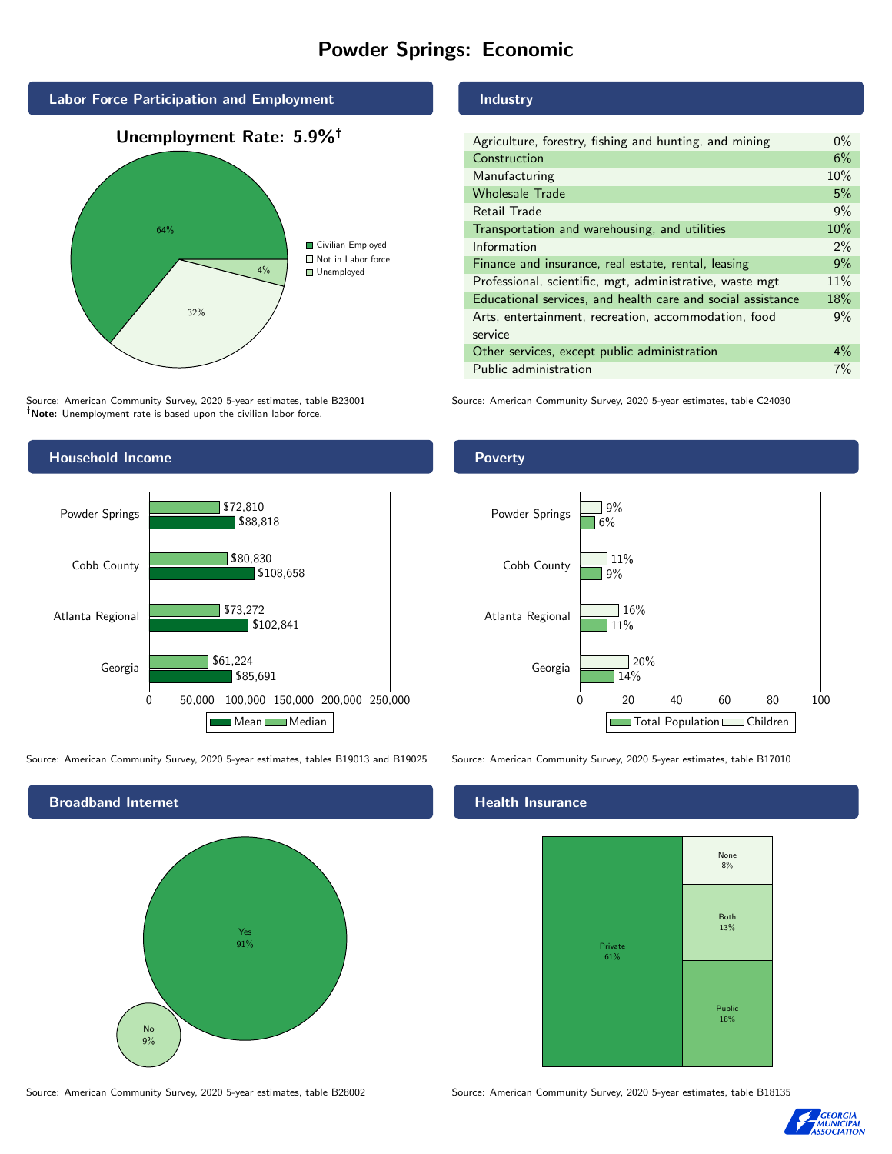# Powder Springs: Economic





Source: American Community Survey, 2020 5-year estimates, table B23001 Note: Unemployment rate is based upon the civilian labor force.



Source: American Community Survey, 2020 5-year estimates, tables B19013 and B19025 Source: American Community Survey, 2020 5-year estimates, table B17010



Source: American Community Survey, 2020 5-year estimates, table B28002 Source: American Community Survey, 2020 5-year estimates, table B18135

### Industry

**Poverty** 

| Agriculture, forestry, fishing and hunting, and mining      | $0\%$  |
|-------------------------------------------------------------|--------|
| Construction                                                | 6%     |
| Manufacturing                                               | 10%    |
| <b>Wholesale Trade</b>                                      | 5%     |
| Retail Trade                                                | 9%     |
| Transportation and warehousing, and utilities               | 10%    |
| Information                                                 | $2\%$  |
| Finance and insurance, real estate, rental, leasing         | 9%     |
| Professional, scientific, mgt, administrative, waste mgt    | $11\%$ |
| Educational services, and health care and social assistance | 18%    |
| Arts, entertainment, recreation, accommodation, food        | 9%     |
| service                                                     |        |
| Other services, except public administration                | $4\%$  |
| Public administration                                       | 7%     |

Source: American Community Survey, 2020 5-year estimates, table C24030

### Georgia Atlanta Regional Cobb County Powder Springs 14%  $\frac{1}{11}$ % 9% 6%  $20%$  $16%$  $11%$  $79%$

0 20 40 60 80 100

Total Population Children

#### Health Insurance